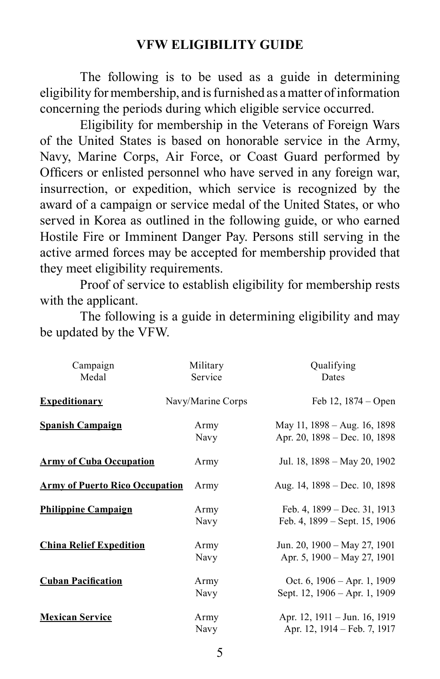The following is to be used as a guide in determining eligibility for membership, and is furnished as a matter of information concerning the periods during which eligible service occurred.

Eligibility for membership in the Veterans of Foreign Wars of the United States is based on honorable service in the Army, Navy, Marine Corps, Air Force, or Coast Guard performed by Officers or enlisted personnel who have served in any foreign war, insurrection, or expedition, which service is recognized by the award of a campaign or service medal of the United States, or who served in Korea as outlined in the following guide, or who earned Hostile Fire or Imminent Danger Pay. Persons still serving in the active armed forces may be accepted for membership provided that they meet eligibility requirements.

Proof of service to establish eligibility for membership rests with the applicant.

The following is a guide in determining eligibility and may be updated by the VFW.

| Campaign<br>Medal                     | Military<br>Service | Qualifying<br>Dates                                              |
|---------------------------------------|---------------------|------------------------------------------------------------------|
| <b>Expeditionary</b>                  | Navy/Marine Corps   | Feb $12$ , $1874 - Open$                                         |
| <b>Spanish Campaign</b>               | Army<br>Navy        | May 11, 1898 – Aug. 16, 1898<br>Apr. 20, 1898 – Dec. 10, 1898    |
| <b>Army of Cuba Occupation</b>        | Army                | Jul. 18, 1898 – May 20, 1902                                     |
| <b>Army of Puerto Rico Occupation</b> | Army                | Aug. 14, 1898 – Dec. 10, 1898                                    |
| <b>Philippine Campaign</b>            | Army<br>Navy        | Feb. 4, 1899 – Dec. 31, 1913<br>Feb. 4, 1899 – Sept. 15, 1906    |
| <b>China Relief Expedition</b>        | Army<br>Navy        | Jun. 20, 1900 – May 27, 1901<br>Apr. 5, 1900 - May 27, 1901      |
| <b>Cuban Pacification</b>             | Army<br>Navy        | Oct. 6, $1906 - Apr.$ 1, $1909$<br>Sept. 12, 1906 - Apr. 1, 1909 |
| <b>Mexican Service</b>                | Army<br>Navy        | Apr. 12, 1911 – Jun. 16, 1919<br>Apr. 12, 1914 – Feb. 7, 1917    |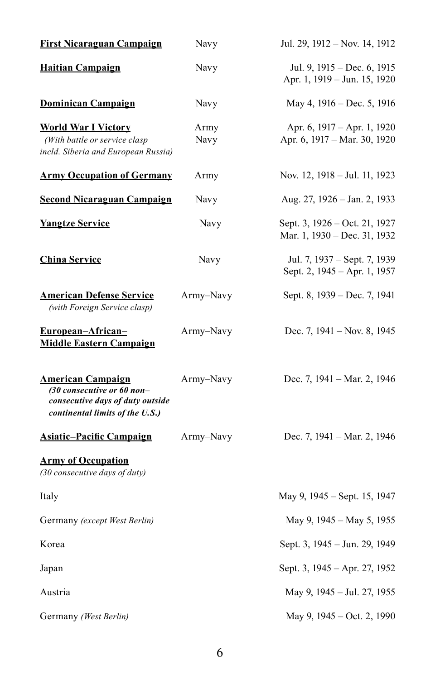| <b>First Nicaraguan Campaign</b>                                                                                              | Navy         | Jul. 29, 1912 – Nov. 14, 1912                                 |
|-------------------------------------------------------------------------------------------------------------------------------|--------------|---------------------------------------------------------------|
| <b>Haitian Campaign</b>                                                                                                       | Navy         | Jul. 9, 1915 – Dec. 6, 1915<br>Apr. 1, 1919 - Jun. 15, 1920   |
| <b>Dominican Campaign</b>                                                                                                     | Navy         | May 4, 1916 - Dec. 5, 1916                                    |
| <b>World War I Victory</b><br>(With battle or service clasp<br>incld. Siberia and European Russia)                            | Army<br>Navy | Apr. 6, 1917 – Apr. 1, 1920<br>Apr. 6, 1917 - Mar. 30, 1920   |
| <b>Army Occupation of Germany</b>                                                                                             | Army         | Nov. 12, 1918 – Jul. 11, 1923                                 |
| <b>Second Nicaraguan Campaign</b>                                                                                             | Navy         | Aug. 27, 1926 - Jan. 2, 1933                                  |
| <b>Yangtze Service</b>                                                                                                        | Navy         | Sept. 3, 1926 – Oct. 21, 1927<br>Mar. 1, 1930 – Dec. 31, 1932 |
| <b>China Service</b>                                                                                                          | Navy         | Jul. 7, 1937 – Sept. 7, 1939<br>Sept. 2, 1945 – Apr. 1, 1957  |
| <b>American Defense Service</b><br>(with Foreign Service clasp)                                                               | Army-Navy    | Sept. 8, 1939 – Dec. 7, 1941                                  |
| European-African-<br><b>Middle Eastern Campaign</b>                                                                           | Army-Navy    | Dec. 7, 1941 – Nov. 8, 1945                                   |
| <b>American Campaign</b><br>(30 consecutive or 60 non-<br>consecutive days of duty outside<br>continental limits of the U.S.) | Army-Navy    | Dec. 7, 1941 – Mar. 2, 1946                                   |
| <b>Asiatic-Pacific Campaign</b>                                                                                               | Army-Navy    | Dec. 7, 1941 – Mar. 2, 1946                                   |
| <b>Army of Occupation</b><br>(30 consecutive days of duty)                                                                    |              |                                                               |
| Italy                                                                                                                         |              | May 9, 1945 – Sept. 15, 1947                                  |
| Germany (except West Berlin)                                                                                                  |              | May 9, 1945 – May 5, 1955                                     |
| Korea                                                                                                                         |              | Sept. 3, 1945 – Jun. 29, 1949                                 |
| Japan                                                                                                                         |              | Sept. 3, 1945 – Apr. 27, 1952                                 |
| Austria                                                                                                                       |              | May 9, 1945 – Jul. 27, 1955                                   |
| Germany (West Berlin)                                                                                                         |              | May 9, 1945 – Oct. 2, 1990                                    |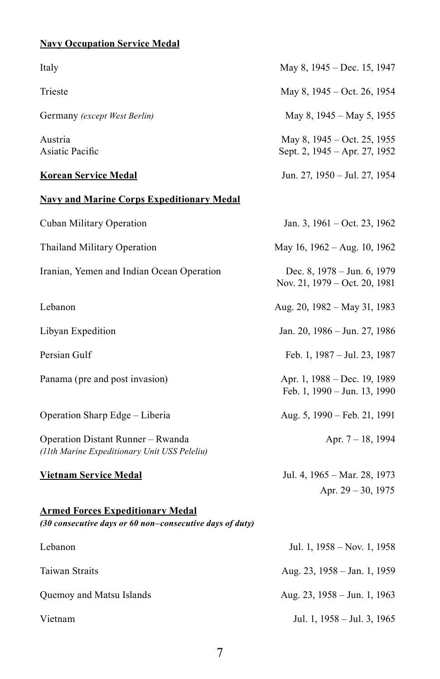## **Navy Occupation Service Medal**

| Italy                                                                                               | May 8, 1945 – Dec. 15, 1947                                  |
|-----------------------------------------------------------------------------------------------------|--------------------------------------------------------------|
| Trieste                                                                                             | May 8, 1945 – Oct. 26, 1954                                  |
| Germany (except West Berlin)                                                                        | May 8, 1945 – May 5, 1955                                    |
| Austria<br>Asiatic Pacific                                                                          | May 8, 1945 – Oct. 25, 1955<br>Sept. 2, 1945 – Apr. 27, 1952 |
| <b>Korean Service Medal</b>                                                                         | Jun. 27, 1950 – Jul. 27, 1954                                |
| <b>Navy and Marine Corps Expeditionary Medal</b>                                                    |                                                              |
| Cuban Military Operation                                                                            | Jan. 3, 1961 – Oct. 23, 1962                                 |
| Thailand Military Operation                                                                         | May 16, 1962 – Aug. 10, 1962                                 |
| Iranian, Yemen and Indian Ocean Operation                                                           | Dec. 8, 1978 – Jun. 6, 1979<br>Nov. 21, 1979 – Oct. 20, 1981 |
| Lebanon                                                                                             | Aug. 20, 1982 - May 31, 1983                                 |
| Libyan Expedition                                                                                   | Jan. 20, 1986 – Jun. 27, 1986                                |
| Persian Gulf                                                                                        | Feb. 1, 1987 – Jul. 23, 1987                                 |
| Panama (pre and post invasion)                                                                      | Apr. 1, 1988 – Dec. 19, 1989<br>Feb. 1, 1990 - Jun. 13, 1990 |
| Operation Sharp Edge – Liberia                                                                      | Aug. 5, 1990 – Feb. 21, 1991                                 |
| Operation Distant Runner – Rwanda<br>(11th Marine Expeditionary Unit USS Peleliu)                   | Apr. 7 – 18, 1994                                            |
| <u>Vietnam Service Medal</u>                                                                        | Jul. 4, 1965 – Mar. 28, 1973<br>Apr. $29 - 30$ , 1975        |
| <b>Armed Forces Expeditionary Medal</b><br>(30 consecutive days or 60 non–consecutive days of duty) |                                                              |
| Lebanon                                                                                             | Jul. 1, 1958 – Nov. 1, 1958                                  |
| Taiwan Straits                                                                                      | Aug. 23, 1958 – Jan. 1, 1959                                 |
| Quemoy and Matsu Islands                                                                            | Aug. 23, 1958 – Jun. 1, 1963                                 |
| Vietnam                                                                                             | Jul. 1, 1958 – Jul. 3, 1965                                  |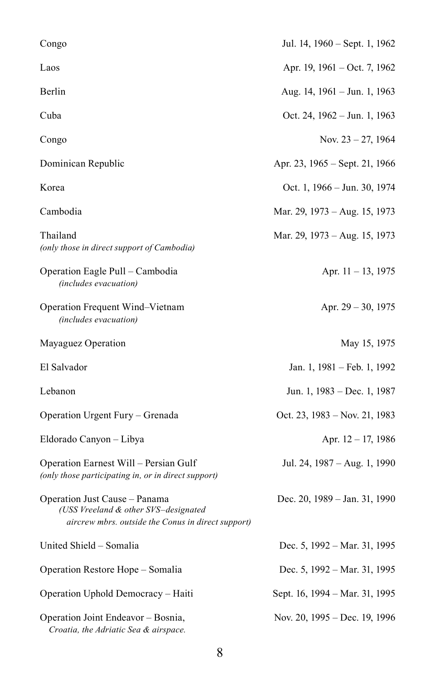| Congo                                                                                                                       | Jul. 14, 1960 - Sept. 1, 1962  |
|-----------------------------------------------------------------------------------------------------------------------------|--------------------------------|
| Laos                                                                                                                        | Apr. 19, 1961 – Oct. 7, 1962   |
| Berlin                                                                                                                      | Aug. 14, 1961 – Jun. 1, 1963   |
| Cuba                                                                                                                        | Oct. 24, 1962 – Jun. 1, 1963   |
| Congo                                                                                                                       | Nov. $23 - 27$ , 1964          |
| Dominican Republic                                                                                                          | Apr. 23, 1965 – Sept. 21, 1966 |
| Korea                                                                                                                       | Oct. 1, 1966 – Jun. 30, 1974   |
| Cambodia                                                                                                                    | Mar. 29, 1973 – Aug. 15, 1973  |
| Thailand<br>(only those in direct support of Cambodia)                                                                      | Mar. 29, 1973 – Aug. 15, 1973  |
| Operation Eagle Pull – Cambodia<br>(includes evacuation)                                                                    | Apr. 11 – 13, 1975             |
| Operation Frequent Wind-Vietnam<br>(includes evacuation)                                                                    | Apr. 29 – 30, 1975             |
| Mayaguez Operation                                                                                                          | May 15, 1975                   |
| El Salvador                                                                                                                 | Jan. 1, 1981 – Feb. 1, 1992    |
| Lebanon                                                                                                                     | Jun. 1, 1983 – Dec. 1, 1987    |
| Operation Urgent Fury – Grenada                                                                                             | Oct. 23, 1983 – Nov. 21, 1983  |
| Eldorado Canyon - Libya                                                                                                     | Apr. 12 – 17, 1986             |
| Operation Earnest Will – Persian Gulf<br>(only those participating in, or in direct support)                                | Jul. 24, 1987 – Aug. 1, 1990   |
| Operation Just Cause - Panama<br>(USS Vreeland & other SVS-designated<br>aircrew mbrs. outside the Conus in direct support) | Dec. 20, 1989 – Jan. 31, 1990  |
| United Shield - Somalia                                                                                                     | Dec. 5, 1992 – Mar. 31, 1995   |
| Operation Restore Hope - Somalia                                                                                            | Dec. 5, 1992 – Mar. 31, 1995   |
| Operation Uphold Democracy - Haiti                                                                                          | Sept. 16, 1994 – Mar. 31, 1995 |
| Operation Joint Endeavor – Bosnia,<br>Croatia, the Adriatic Sea & airspace.                                                 | Nov. 20, 1995 - Dec. 19, 1996  |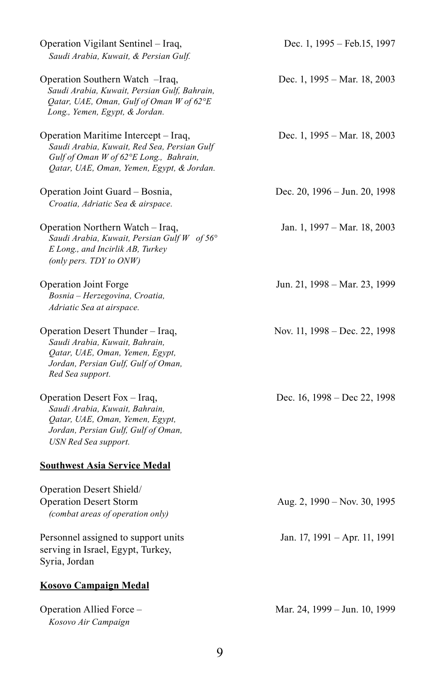| Operation Vigilant Sentinel - Iraq,<br>Saudi Arabia, Kuwait, & Persian Gulf.                                                                                               | Dec. 1, 1995 – Feb.15, 1997   |
|----------------------------------------------------------------------------------------------------------------------------------------------------------------------------|-------------------------------|
| Operation Southern Watch -Iraq,<br>Saudi Arabia, Kuwait, Persian Gulf, Bahrain,<br>Qatar, UAE, Oman, Gulf of Oman W of 62°E<br>Long., Yemen, Egypt, & Jordan.              | Dec. 1, 1995 – Mar. 18, 2003  |
| Operation Maritime Intercept – Iraq,<br>Saudi Arabia, Kuwait, Red Sea, Persian Gulf<br>Gulf of Oman W of 62°E Long., Bahrain,<br>Qatar, UAE, Oman, Yemen, Egypt, & Jordan. | Dec. 1, 1995 – Mar. 18, 2003  |
| Operation Joint Guard - Bosnia,                                                                                                                                            | Dec. 20, 1996 – Jun. 20, 1998 |
| Croatia, Adriatic Sea & airspace.                                                                                                                                          |                               |
| Operation Northern Watch – Iraq,<br>Saudi Arabia, Kuwait, Persian Gulf W of 56°<br>E Long., and Incirlik AB, Turkey<br>(only pers. TDY to ONW)                             | Jan. 1, 1997 – Mar. 18, 2003  |
| Operation Joint Forge<br>Bosnia - Herzegovina, Croatia,<br>Adriatic Sea at airspace.                                                                                       | Jun. 21, 1998 – Mar. 23, 1999 |
| Operation Desert Thunder – Iraq,<br>Saudi Arabia, Kuwait, Bahrain,<br>Qatar, UAE, Oman, Yemen, Egypt,<br>Jordan, Persian Gulf, Gulf of Oman,<br>Red Sea support.           | Nov. 11, 1998 – Dec. 22, 1998 |
| Operation Desert Fox - Iraq,<br>Saudi Arabia, Kuwait, Bahrain,<br>Qatar, UAE, Oman, Yemen, Egypt,<br>Jordan, Persian Gulf, Gulf of Oman,<br>USN Red Sea support.           | Dec. 16, 1998 - Dec 22, 1998  |
| <b>Southwest Asia Service Medal</b>                                                                                                                                        |                               |
| Operation Desert Shield/<br><b>Operation Desert Storm</b><br>(combat areas of operation only)                                                                              | Aug. 2, 1990 – Nov. 30, 1995  |
| Personnel assigned to support units<br>serving in Israel, Egypt, Turkey,<br>Syria, Jordan                                                                                  | Jan. 17, 1991 - Apr. 11, 1991 |
| <b>Kosovo Campaign Medal</b>                                                                                                                                               |                               |
| Operation Allied Force -<br>Kosovo Air Campaign                                                                                                                            | Mar. 24, 1999 - Jun. 10, 1999 |